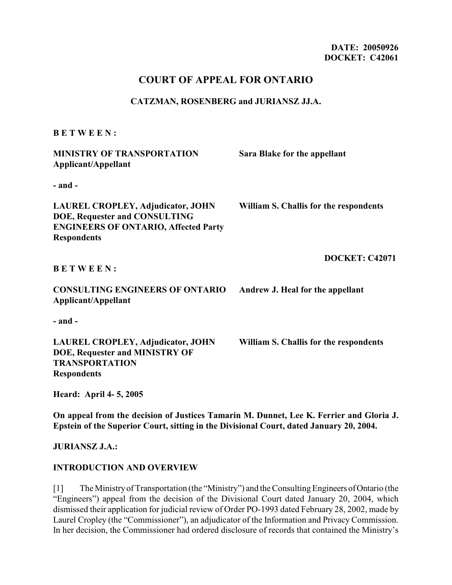# **COURT OF APPEAL FOR ONTARIO**

#### **CATZMAN, ROSENBERG and JURIANSZ JJ.A.**

#### **B E T W E E N :**

| <b>MINISTRY OF TRANSPORTATION</b><br>Applicant/Appellant                                                                                       | Sara Blake for the appellant           |
|------------------------------------------------------------------------------------------------------------------------------------------------|----------------------------------------|
| - and -                                                                                                                                        |                                        |
| <b>LAUREL CROPLEY, Adjudicator, JOHN</b><br>DOE, Requester and CONSULTING<br><b>ENGINEERS OF ONTARIO, Affected Party</b><br><b>Respondents</b> | William S. Challis for the respondents |
| <b>BETWEEN:</b>                                                                                                                                | <b>DOCKET: C42071</b>                  |
| <b>CONSULTING ENGINEERS OF ONTARIO</b><br>Applicant/Appellant                                                                                  | Andrew J. Heal for the appellant       |
| - and -                                                                                                                                        |                                        |
| <b>LAUREL CROPLEY, Adjudicator, JOHN</b><br>DOE, Requester and MINISTRY OF<br><b>TRANSPORTATION</b><br><b>Respondents</b>                      | William S. Challis for the respondents |
| Heard: April 4-5, 2005                                                                                                                         |                                        |

**On appeal from the decision of Justices Tamarin M. Dunnet, Lee K. Ferrier and Gloria J. Epstein of the Superior Court, sitting in the Divisional Court, dated January 20, 2004.**

**JURIANSZ J.A.:**

#### **INTRODUCTION AND OVERVIEW**

[1] The Ministry of Transportation (the "Ministry") and the Consulting Engineers of Ontario (the "Engineers") appeal from the decision of the Divisional Court dated January 20, 2004, which dismissed their application for judicial review of Order PO-1993 dated February 28, 2002, made by Laurel Cropley (the "Commissioner"), an adjudicator of the Information and Privacy Commission. In her decision, the Commissioner had ordered disclosure of records that contained the Ministry's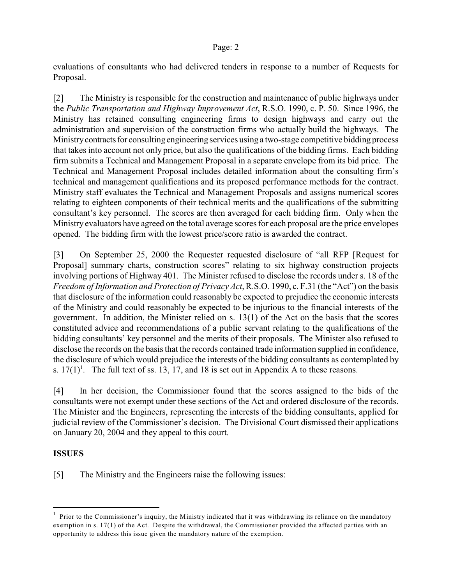evaluations of consultants who had delivered tenders in response to a number of Requests for Proposal.

[2] The Ministry is responsible for the construction and maintenance of public highways under the *Public Transportation and Highway Improvement Act*, R.S.O. 1990, c. P. 50. Since 1996, the Ministry has retained consulting engineering firms to design highways and carry out the administration and supervision of the construction firms who actually build the highways. The Ministry contracts for consulting engineering services using a two-stage competitive bidding process that takes into account not only price, but also the qualifications of the bidding firms. Each bidding firm submits a Technical and Management Proposal in a separate envelope from its bid price. The Technical and Management Proposal includes detailed information about the consulting firm's technical and management qualifications and its proposed performance methods for the contract. Ministry staff evaluates the Technical and Management Proposals and assigns numerical scores relating to eighteen components of their technical merits and the qualifications of the submitting consultant's key personnel. The scores are then averaged for each bidding firm. Only when the Ministry evaluators have agreed on the total average scores for each proposal are the price envelopes opened. The bidding firm with the lowest price/score ratio is awarded the contract.

[3] On September 25, 2000 the Requester requested disclosure of "all RFP [Request for Proposal] summary charts, construction scores" relating to six highway construction projects involving portions of Highway 401. The Minister refused to disclose the records under s. 18 of the *Freedom of Information and Protection of Privacy Act*, R.S.O. 1990, c. F.31 (the "Act") on the basis that disclosure of the information could reasonably be expected to prejudice the economic interests of the Ministry and could reasonably be expected to be injurious to the financial interests of the government. In addition, the Minister relied on s.  $13(1)$  of the Act on the basis that the scores constituted advice and recommendations of a public servant relating to the qualifications of the bidding consultants' key personnel and the merits of their proposals. The Minister also refused to disclose the records on the basis that the records contained trade information supplied in confidence, the disclosure of which would prejudice the interests of the bidding consultants as contemplated by s.  $17(1)^1$ . The full text of ss. 13, 17, and 18 is set out in Appendix A to these reasons.

[4] In her decision, the Commissioner found that the scores assigned to the bids of the consultants were not exempt under these sections of the Act and ordered disclosure of the records. The Minister and the Engineers, representing the interests of the bidding consultants, applied for judicial review of the Commissioner's decision. The Divisional Court dismissed their applications on January 20, 2004 and they appeal to this court.

## **ISSUES**

[5] The Ministry and the Engineers raise the following issues:

 $<sup>1</sup>$  Prior to the Commissioner's inquiry, the Ministry indicated that it was withdrawing its reliance on the mandatory</sup> exemption in s. 17(1) of the Act. Despite the withdrawal, the Commissioner provided the affected parties with an opportunity to address this issue given the mandatory nature of the exemption.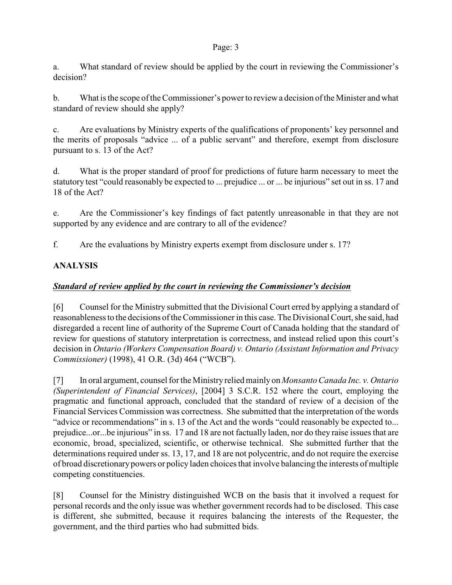a. What standard of review should be applied by the court in reviewing the Commissioner's decision?

b. What is the scope of the Commissioner's powerto review a decision of the Minister and what standard of review should she apply?

c. Are evaluations by Ministry experts of the qualifications of proponents' key personnel and the merits of proposals "advice ... of a public servant" and therefore, exempt from disclosure pursuant to s. 13 of the Act?

d. What is the proper standard of proof for predictions of future harm necessary to meet the statutory test "could reasonably be expected to ... prejudice ... or ... be injurious" set out in ss. 17 and 18 of the Act?

e. Are the Commissioner's key findings of fact patently unreasonable in that they are not supported by any evidence and are contrary to all of the evidence?

f. Are the evaluations by Ministry experts exempt from disclosure under s. 17?

# **ANALYSIS**

# *Standard of review applied by the court in reviewing the Commissioner's decision*

[6] Counsel for the Ministry submitted that the Divisional Court erred by applying a standard of reasonableness to the decisions of the Commissioner in this case. The Divisional Court, she said, had disregarded a recent line of authority of the Supreme Court of Canada holding that the standard of review for questions of statutory interpretation is correctness, and instead relied upon this court's decision in *Ontario (Workers Compensation Board) v. Ontario (Assistant Information and Privacy Commissioner)* (1998), 41 O.R. (3d) 464 ("WCB").

[7] In oral argument, counsel for the Ministry relied mainly on *Monsanto Canada Inc. v. Ontario (Superintendent of Financial Services)*, [2004] 3 S.C.R. 152 where the court, employing the pragmatic and functional approach, concluded that the standard of review of a decision of the Financial Services Commission was correctness. She submitted that the interpretation of the words "advice or recommendations" in s. 13 of the Act and the words "could reasonably be expected to... prejudice...or...be injurious" in ss. 17 and 18 are not factually laden, nor do they raise issues that are economic, broad, specialized, scientific, or otherwise technical. She submitted further that the determinations required under ss. 13, 17, and 18 are not polycentric, and do not require the exercise of broad discretionarypowers or policy laden choices that involve balancing the interests of multiple competing constituencies.

[8] Counsel for the Ministry distinguished WCB on the basis that it involved a request for personal records and the only issue was whether government records had to be disclosed. This case is different, she submitted, because it requires balancing the interests of the Requester, the government, and the third parties who had submitted bids.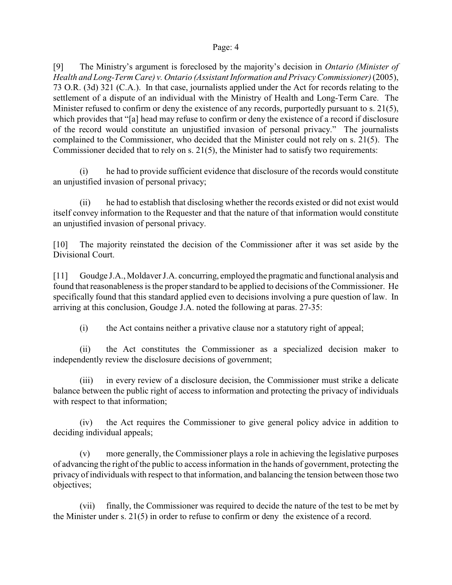[9] The Ministry's argument is foreclosed by the majority's decision in *Ontario (Minister of Health and Long-Term Care) v. Ontario (Assistant Information and Privacy Commissioner)* (2005), 73 O.R. (3d) 321 (C.A.). In that case, journalists applied under the Act for records relating to the settlement of a dispute of an individual with the Ministry of Health and Long-Term Care. The Minister refused to confirm or deny the existence of any records, purportedly pursuant to s. 21(5), which provides that "[a] head may refuse to confirm or deny the existence of a record if disclosure of the record would constitute an unjustified invasion of personal privacy." The journalists complained to the Commissioner, who decided that the Minister could not rely on s. 21(5). The Commissioner decided that to rely on s. 21(5), the Minister had to satisfy two requirements:

(i) he had to provide sufficient evidence that disclosure of the records would constitute an unjustified invasion of personal privacy;

(ii) he had to establish that disclosing whether the records existed or did not exist would itself convey information to the Requester and that the nature of that information would constitute an unjustified invasion of personal privacy.

[10] The majority reinstated the decision of the Commissioner after it was set aside by the Divisional Court.

[11] Goudge J.A., Moldaver J.A. concurring, employed the pragmatic and functional analysis and found that reasonableness is the proper standard to be applied to decisions of the Commissioner. He specifically found that this standard applied even to decisions involving a pure question of law. In arriving at this conclusion, Goudge J.A. noted the following at paras. 27-35:

(i) the Act contains neither a privative clause nor a statutory right of appeal;

(ii) the Act constitutes the Commissioner as a specialized decision maker to independently review the disclosure decisions of government;

(iii) in every review of a disclosure decision, the Commissioner must strike a delicate balance between the public right of access to information and protecting the privacy of individuals with respect to that information;

(iv) the Act requires the Commissioner to give general policy advice in addition to deciding individual appeals;

(v) more generally, the Commissioner plays a role in achieving the legislative purposes of advancing the right of the public to access information in the hands of government, protecting the privacy of individuals with respect to that information, and balancing the tension between those two objectives;

(vii) finally, the Commissioner was required to decide the nature of the test to be met by the Minister under s. 21(5) in order to refuse to confirm or deny the existence of a record.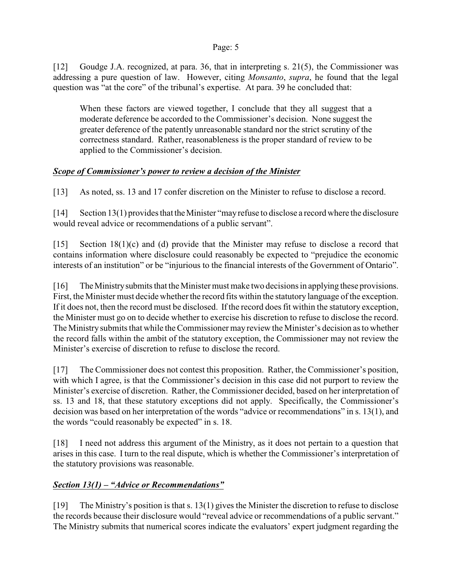[12] Goudge J.A. recognized, at para. 36, that in interpreting s. 21(5), the Commissioner was addressing a pure question of law. However, citing *Monsanto*, *supra*, he found that the legal question was "at the core" of the tribunal's expertise. At para. 39 he concluded that:

When these factors are viewed together, I conclude that they all suggest that a moderate deference be accorded to the Commissioner's decision. None suggest the greater deference of the patently unreasonable standard nor the strict scrutiny of the correctness standard. Rather, reasonableness is the proper standard of review to be applied to the Commissioner's decision.

# *Scope of Commissioner's power to review a decision of the Minister*

[13] As noted, ss. 13 and 17 confer discretion on the Minister to refuse to disclose a record.

[14] Section 13(1) provides that the Minister "may refuse to disclose a record where the disclosure would reveal advice or recommendations of a public servant".

[15] Section 18(1)(c) and (d) provide that the Minister may refuse to disclose a record that contains information where disclosure could reasonably be expected to "prejudice the economic interests of an institution" or be "injurious to the financial interests of the Government of Ontario".

[16] The Ministry submits that the Minister must make two decisions in applying these provisions. First, the Minister must decide whether the record fits within the statutory language of the exception. If it does not, then the record must be disclosed. If the record does fit within the statutory exception, the Minister must go on to decide whether to exercise his discretion to refuse to disclose the record. The Ministry submits that while the Commissioner may review the Minister's decision as to whether the record falls within the ambit of the statutory exception, the Commissioner may not review the Minister's exercise of discretion to refuse to disclose the record.

[17] The Commissioner does not contest this proposition. Rather, the Commissioner's position, with which I agree, is that the Commissioner's decision in this case did not purport to review the Minister's exercise of discretion. Rather, the Commissioner decided, based on her interpretation of ss. 13 and 18, that these statutory exceptions did not apply. Specifically, the Commissioner's decision was based on her interpretation of the words "advice or recommendations" in s. 13(1), and the words "could reasonably be expected" in s. 18.

[18] I need not address this argument of the Ministry, as it does not pertain to a question that arises in this case. I turn to the real dispute, which is whether the Commissioner's interpretation of the statutory provisions was reasonable.

# *Section 13(1) – "Advice or Recommendations"*

[19] The Ministry's position is that s. 13(1) gives the Minister the discretion to refuse to disclose the records because their disclosure would "reveal advice or recommendations of a public servant." The Ministry submits that numerical scores indicate the evaluators' expert judgment regarding the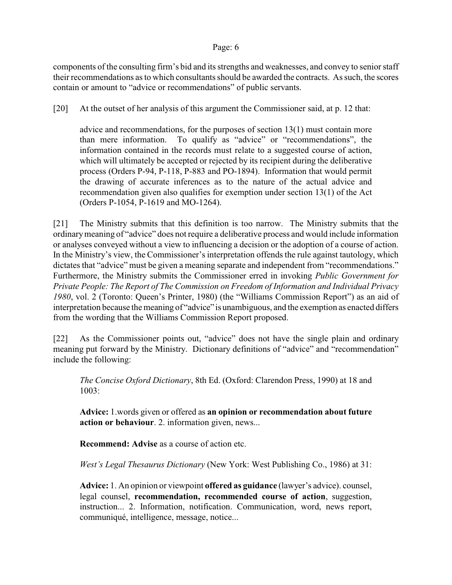components of the consulting firm's bid and its strengths and weaknesses, and convey to senior staff their recommendations as to which consultants should be awarded the contracts. As such, the scores contain or amount to "advice or recommendations" of public servants.

[20] At the outset of her analysis of this argument the Commissioner said, at p. 12 that:

advice and recommendations, for the purposes of section 13(1) must contain more than mere information. To qualify as "advice" or "recommendations", the information contained in the records must relate to a suggested course of action, which will ultimately be accepted or rejected by its recipient during the deliberative process (Orders P-94, P-118, P-883 and PO-1894). Information that would permit the drawing of accurate inferences as to the nature of the actual advice and recommendation given also qualifies for exemption under section 13(1) of the Act (Orders P-1054, P-1619 and MO-1264).

[21] The Ministry submits that this definition is too narrow. The Ministry submits that the ordinary meaning of "advice" does not require a deliberative process and would include information or analyses conveyed without a view to influencing a decision or the adoption of a course of action. In the Ministry's view, the Commissioner's interpretation offends the rule against tautology, which dictates that "advice" must be given a meaning separate and independent from "recommendations." Furthermore, the Ministry submits the Commissioner erred in invoking *Public Government for Private People: The Report of The Commission on Freedom of Information and Individual Privacy 1980*, vol. 2 (Toronto: Queen's Printer, 1980) (the "Williams Commission Report") as an aid of interpretation because the meaning of "advice" is unambiguous, and the exemption as enacted differs from the wording that the Williams Commission Report proposed.

[22] As the Commissioner points out, "advice" does not have the single plain and ordinary meaning put forward by the Ministry. Dictionary definitions of "advice" and "recommendation" include the following:

*The Concise Oxford Dictionary*, 8th Ed. (Oxford: Clarendon Press, 1990) at 18 and 1003:

**Advice:** 1.words given or offered as **an opinion or recommendation about future action or behaviour**. 2. information given, news...

**Recommend: Advise** as a course of action etc.

*West's Legal Thesaurus Dictionary* (New York: West Publishing Co., 1986) at 31:

**Advice:** 1. An opinion or viewpoint **offered as guidance** (lawyer's advice). counsel, legal counsel, **recommendation, recommended course of action**, suggestion, instruction... 2. Information, notification. Communication, word, news report, communiqué, intelligence, message, notice...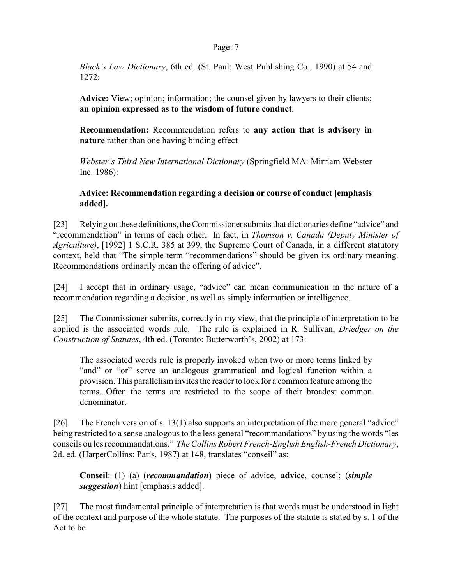*Black's Law Dictionary*, 6th ed. (St. Paul: West Publishing Co., 1990) at 54 and 1272:

**Advice:** View; opinion; information; the counsel given by lawyers to their clients; **an opinion expressed as to the wisdom of future conduct**.

**Recommendation:** Recommendation refers to **any action that is advisory in nature** rather than one having binding effect

*Webster's Third New International Dictionary* (Springfield MA: Mirriam Webster Inc. 1986):

## **Advice: Recommendation regarding a decision or course of conduct [emphasis added].**

[23] Relying on these definitions, the Commissioner submits that dictionaries define "advice" and "recommendation" in terms of each other. In fact, in *Thomson v. Canada (Deputy Minister of Agriculture)*, [1992] 1 S.C.R. 385 at 399, the Supreme Court of Canada, in a different statutory context, held that "The simple term "recommendations" should be given its ordinary meaning. Recommendations ordinarily mean the offering of advice".

[24] I accept that in ordinary usage, "advice" can mean communication in the nature of a recommendation regarding a decision, as well as simply information or intelligence.

[25] The Commissioner submits, correctly in my view, that the principle of interpretation to be applied is the associated words rule. The rule is explained in R. Sullivan, *Driedger on the Construction of Statutes*, 4th ed. (Toronto: Butterworth's, 2002) at 173:

The associated words rule is properly invoked when two or more terms linked by "and" or "or" serve an analogous grammatical and logical function within a provision. This parallelism invites the reader to look for a common feature among the terms...Often the terms are restricted to the scope of their broadest common denominator.

[26] The French version of s. 13(1) also supports an interpretation of the more general "advice" being restricted to a sense analogous to the less general "recommandations" by using the words "les conseils ou les recommandations." *TheCollins Robert French-English English-French Dictionary*, 2d. ed. (HarperCollins: Paris, 1987) at 148, translates "conseil" as:

**Conseil**: (1) (a) (*recommandation*) piece of advice, **advice**, counsel; (*simple suggestion*) hint [emphasis added].

[27] The most fundamental principle of interpretation is that words must be understood in light of the context and purpose of the whole statute. The purposes of the statute is stated by s. 1 of the Act to be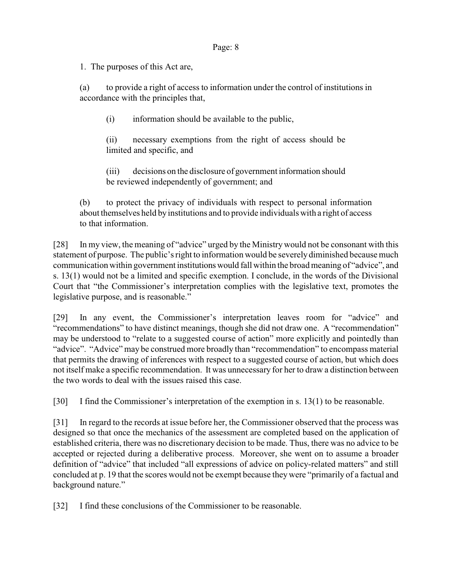1. The purposes of this Act are,

(a) to provide a right of access to information under the control of institutions in accordance with the principles that,

(i) information should be available to the public,

(ii) necessary exemptions from the right of access should be limited and specific, and

(iii) decisions on the disclosure of government information should be reviewed independently of government; and

(b) to protect the privacy of individuals with respect to personal information about themselves held by institutions and to provide individuals with a right of access to that information.

[28] In my view, the meaning of "advice" urged by the Ministry would not be consonant with this statement of purpose. The public's right to information would be severely diminished because much communication within government institutions would fall within the broad meaning of "advice", and s. 13(1) would not be a limited and specific exemption. I conclude, in the words of the Divisional Court that "the Commissioner's interpretation complies with the legislative text, promotes the legislative purpose, and is reasonable."

[29] In any event, the Commissioner's interpretation leaves room for "advice" and "recommendations" to have distinct meanings, though she did not draw one. A "recommendation" may be understood to "relate to a suggested course of action" more explicitly and pointedly than "advice". "Advice" may be construed more broadly than "recommendation" to encompass material that permits the drawing of inferences with respect to a suggested course of action, but which does not itself make a specific recommendation. It was unnecessary for her to draw a distinction between the two words to deal with the issues raised this case.

[30] I find the Commissioner's interpretation of the exemption in s. 13(1) to be reasonable.

[31] In regard to the records at issue before her, the Commissioner observed that the process was designed so that once the mechanics of the assessment are completed based on the application of established criteria, there was no discretionary decision to be made. Thus, there was no advice to be accepted or rejected during a deliberative process. Moreover, she went on to assume a broader definition of "advice" that included "all expressions of advice on policy-related matters" and still concluded at p. 19 that the scores would not be exempt because they were "primarily of a factual and background nature."

[32] I find these conclusions of the Commissioner to be reasonable.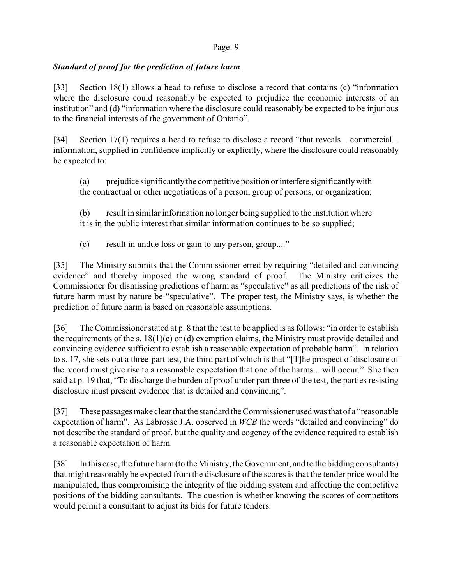# *Standard of proof for the prediction of future harm*

[33] Section 18(1) allows a head to refuse to disclose a record that contains (c) "information where the disclosure could reasonably be expected to prejudice the economic interests of an institution" and (d) "information where the disclosure could reasonably be expected to be injurious to the financial interests of the government of Ontario".

[34] Section 17(1) requires a head to refuse to disclose a record "that reveals... commercial... information, supplied in confidence implicitly or explicitly, where the disclosure could reasonably be expected to:

(a) prejudice significantlythe competitive position orinterfere significantly with the contractual or other negotiations of a person, group of persons, or organization;

(b) result in similar information no longer being supplied to the institution where it is in the public interest that similar information continues to be so supplied;

(c) result in undue loss or gain to any person, group...."

[35] The Ministry submits that the Commissioner erred by requiring "detailed and convincing evidence" and thereby imposed the wrong standard of proof. The Ministry criticizes the Commissioner for dismissing predictions of harm as "speculative" as all predictions of the risk of future harm must by nature be "speculative". The proper test, the Ministry says, is whether the prediction of future harm is based on reasonable assumptions.

[36] The Commissioner stated at p. 8 that the test to be applied is as follows: "in order to establish the requirements of the s. 18(1)(c) or (d) exemption claims, the Ministry must provide detailed and convincing evidence sufficient to establish a reasonable expectation of probable harm". In relation to s. 17, she sets out a three-part test, the third part of which is that "[T]he prospect of disclosure of the record must give rise to a reasonable expectation that one of the harms... will occur." She then said at p. 19 that, "To discharge the burden of proof under part three of the test, the parties resisting disclosure must present evidence that is detailed and convincing".

[37] These passages make clear that the standard the Commissioner used was that of a "reasonable expectation of harm". As Labrosse J.A. observed in *WCB* the words "detailed and convincing" do not describe the standard of proof, but the quality and cogency of the evidence required to establish a reasonable expectation of harm.

[38] In this case, the future harm(to the Ministry, the Government, and to the bidding consultants) that might reasonably be expected from the disclosure of the scores is that the tender price would be manipulated, thus compromising the integrity of the bidding system and affecting the competitive positions of the bidding consultants. The question is whether knowing the scores of competitors would permit a consultant to adjust its bids for future tenders.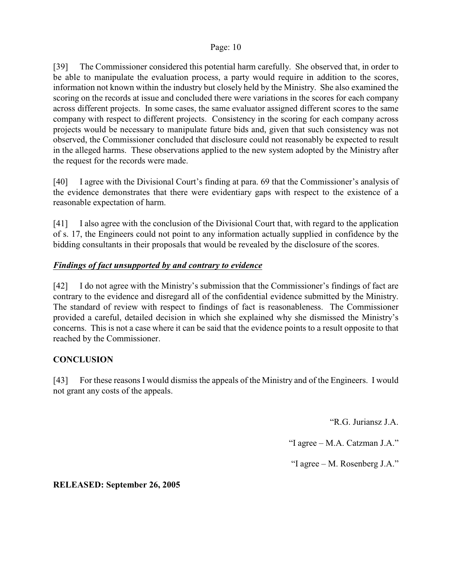[39] The Commissioner considered this potential harm carefully. She observed that, in order to be able to manipulate the evaluation process, a party would require in addition to the scores, information not known within the industry but closely held by the Ministry. She also examined the scoring on the records at issue and concluded there were variations in the scores for each company across different projects. In some cases, the same evaluator assigned different scores to the same company with respect to different projects. Consistency in the scoring for each company across projects would be necessary to manipulate future bids and, given that such consistency was not observed, the Commissioner concluded that disclosure could not reasonably be expected to result in the alleged harms. These observations applied to the new system adopted by the Ministry after the request for the records were made.

[40] I agree with the Divisional Court's finding at para. 69 that the Commissioner's analysis of the evidence demonstrates that there were evidentiary gaps with respect to the existence of a reasonable expectation of harm.

[41] I also agree with the conclusion of the Divisional Court that, with regard to the application of s. 17, the Engineers could not point to any information actually supplied in confidence by the bidding consultants in their proposals that would be revealed by the disclosure of the scores.

# *Findings of fact unsupported by and contrary to evidence*

[42] I do not agree with the Ministry's submission that the Commissioner's findings of fact are contrary to the evidence and disregard all of the confidential evidence submitted by the Ministry. The standard of review with respect to findings of fact is reasonableness. The Commissioner provided a careful, detailed decision in which she explained why she dismissed the Ministry's concerns. This is not a case where it can be said that the evidence points to a result opposite to that reached by the Commissioner.

## **CONCLUSION**

[43] For these reasons I would dismiss the appeals of the Ministry and of the Engineers. I would not grant any costs of the appeals.

"R.G. Juriansz J.A.

"I agree – M.A. Catzman J.A."

"I agree – M. Rosenberg J.A."

**RELEASED: September 26, 2005**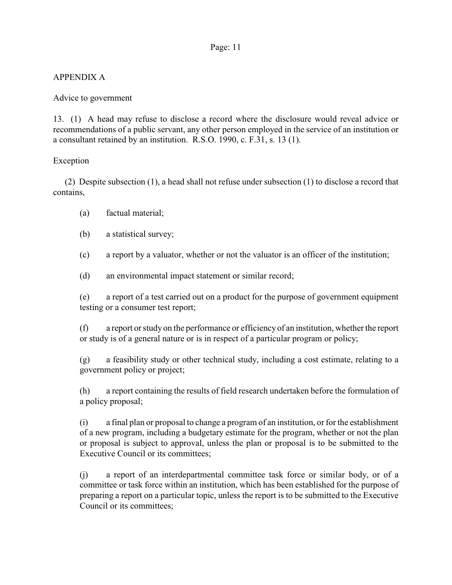# APPENDIX A

## Advice to government

13. (1) A head may refuse to disclose a record where the disclosure would reveal advice or recommendations of a public servant, any other person employed in the service of an institution or a consultant retained by an institution. R.S.O. 1990, c. F.31, s. 13 (1).

### Exception

 (2) Despite subsection (1), a head shall not refuse under subsection (1) to disclose a record that contains,

- (a) factual material;
- (b) a statistical survey;
- (c) a report by a valuator, whether or not the valuator is an officer of the institution;
- (d) an environmental impact statement or similar record;

(e) a report of a test carried out on a product for the purpose of government equipment testing or a consumer test report;

(f) a report or study on the performance or efficiency of an institution, whether the report or study is of a general nature or is in respect of a particular program or policy;

(g) a feasibility study or other technical study, including a cost estimate, relating to a government policy or project;

(h) a report containing the results of field research undertaken before the formulation of a policy proposal;

(i) a final plan or proposal to change a program of an institution, or for the establishment of a new program, including a budgetary estimate for the program, whether or not the plan or proposal is subject to approval, unless the plan or proposal is to be submitted to the Executive Council or its committees;

(j) a report of an interdepartmental committee task force or similar body, or of a committee or task force within an institution, which has been established for the purpose of preparing a report on a particular topic, unless the report is to be submitted to the Executive Council or its committees;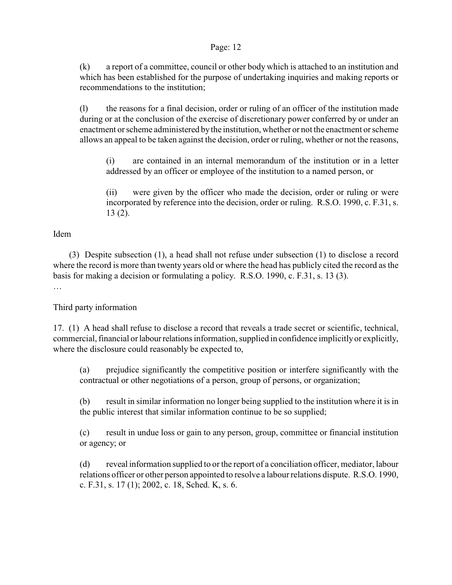(k) a report of a committee, council or other body which is attached to an institution and which has been established for the purpose of undertaking inquiries and making reports or recommendations to the institution;

(l) the reasons for a final decision, order or ruling of an officer of the institution made during or at the conclusion of the exercise of discretionary power conferred by or under an enactment or scheme administered by the institution, whether or not the enactment or scheme allows an appeal to be taken against the decision, order or ruling, whether or not the reasons,

(i) are contained in an internal memorandum of the institution or in a letter addressed by an officer or employee of the institution to a named person, or

(ii) were given by the officer who made the decision, order or ruling or were incorporated by reference into the decision, order or ruling. R.S.O. 1990, c. F.31, s. 13 (2).

### Idem

 (3) Despite subsection (1), a head shall not refuse under subsection (1) to disclose a record where the record is more than twenty years old or where the head has publicly cited the record as the basis for making a decision or formulating a policy. R.S.O. 1990, c. F.31, s. 13 (3). …

## Third party information

17. (1) A head shall refuse to disclose a record that reveals a trade secret or scientific, technical, commercial, financial or labour relations information, supplied in confidence implicitly or explicitly, where the disclosure could reasonably be expected to,

(a) prejudice significantly the competitive position or interfere significantly with the contractual or other negotiations of a person, group of persons, or organization;

(b) result in similar information no longer being supplied to the institution where it is in the public interest that similar information continue to be so supplied;

(c) result in undue loss or gain to any person, group, committee or financial institution or agency; or

(d) reveal information supplied to or the report of a conciliation officer, mediator, labour relations officer or other person appointed to resolve a labour relations dispute. R.S.O. 1990, c. F.31, s. 17 (1); 2002, c. 18, Sched. K, s. 6.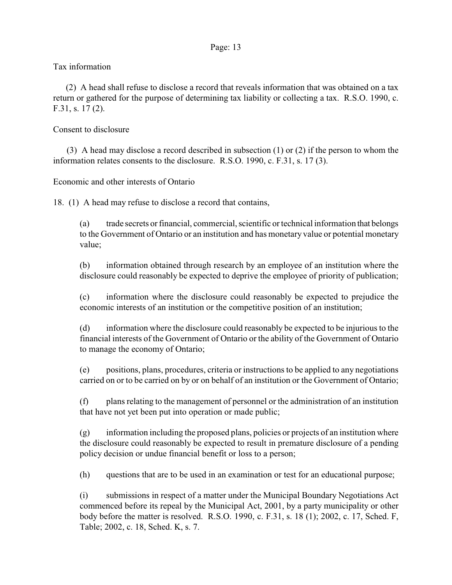## Tax information

 (2) A head shall refuse to disclose a record that reveals information that was obtained on a tax return or gathered for the purpose of determining tax liability or collecting a tax. R.S.O. 1990, c. F.31, s. 17 (2).

## Consent to disclosure

 (3) A head may disclose a record described in subsection (1) or (2) if the person to whom the information relates consents to the disclosure. R.S.O. 1990, c. F.31, s. 17 (3).

Economic and other interests of Ontario

18. (1) A head may refuse to disclose a record that contains,

(a) trade secrets or financial, commercial, scientific or technical information that belongs to the Government of Ontario or an institution and has monetary value or potential monetary value;

(b) information obtained through research by an employee of an institution where the disclosure could reasonably be expected to deprive the employee of priority of publication;

(c) information where the disclosure could reasonably be expected to prejudice the economic interests of an institution or the competitive position of an institution;

(d) information where the disclosure could reasonably be expected to be injurious to the financial interests of the Government of Ontario or the ability of the Government of Ontario to manage the economy of Ontario;

(e) positions, plans, procedures, criteria or instructions to be applied to any negotiations carried on or to be carried on by or on behalf of an institution or the Government of Ontario;

(f) plans relating to the management of personnel or the administration of an institution that have not yet been put into operation or made public;

 $(g)$  information including the proposed plans, policies or projects of an institution where the disclosure could reasonably be expected to result in premature disclosure of a pending policy decision or undue financial benefit or loss to a person;

(h) questions that are to be used in an examination or test for an educational purpose;

(i) submissions in respect of a matter under the Municipal Boundary Negotiations Act commenced before its repeal by the Municipal Act, 2001, by a party municipality or other body before the matter is resolved. R.S.O. 1990, c. F.31, s. 18 (1); 2002, c. 17, Sched. F, Table; 2002, c. 18, Sched. K, s. 7.